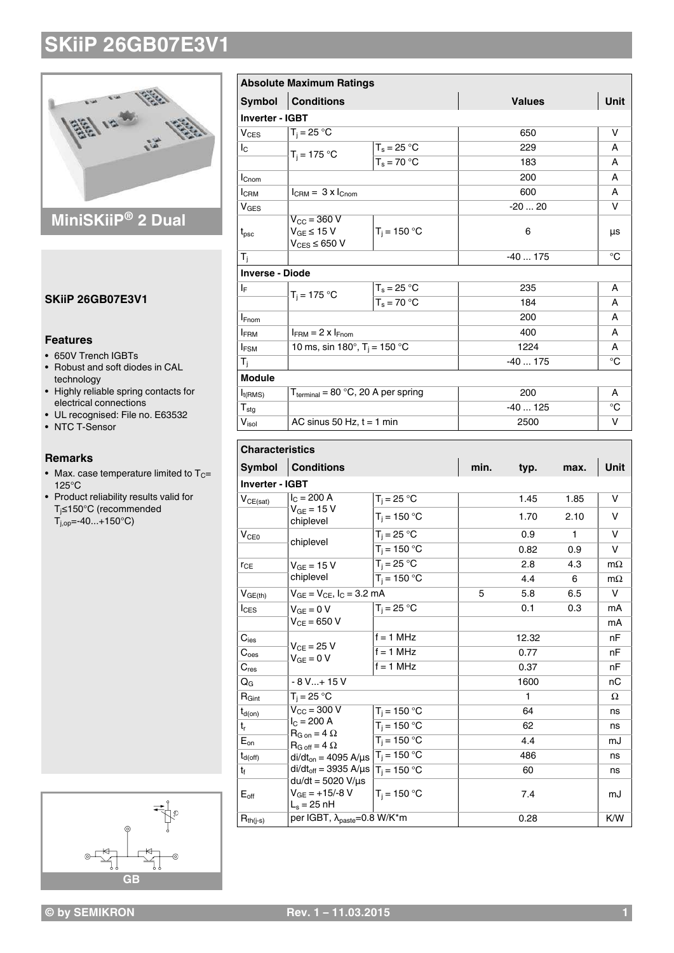

### **MiniSKiiP® 2 Dual**

### **SKiiP 26GB07E3V1**

### **Features**

- 650V Trench IGBTs
- Robust and soft diodes in CAL
- technology • Highly reliable spring contacts for electrical connections
- UL recognised: File no. E63532
- NTC T-Sensor

#### **Remarks**

- Max. case temperature limited to  $T_C=$ 125°C
- Product reliability results valid for Tj≤150°C (recommended  $T_{j,op} = -40...+150^{\circ}C$



| <b>Symbol</b>          | <b>Conditions</b>                                                    |                | <b>Values</b> | <b>Unit</b> |
|------------------------|----------------------------------------------------------------------|----------------|---------------|-------------|
| <b>Inverter - IGBT</b> |                                                                      |                |               |             |
| $V_{CES}$              | $T_i = 25 °C$                                                        |                | 650           | v           |
| $I_{\rm C}$            | $T_i = 175 °C$                                                       | $T_s = 25 °C$  | 229           | A           |
|                        |                                                                      | $T_s = 70 °C$  | 183           | A           |
| $I_{\text{Cnom}}$      |                                                                      |                | 200           | A           |
| <b>I</b> CRM           | $l_{\text{CBM}} = 3 \times l_{\text{Cnom}}$                          |                | 600           | A           |
| $V_{\text{GES}}$       |                                                                      |                | $-2020$       | v           |
| $t_{\rm psc}$          | $V_{\text{CC}}$ = 360 V<br>$V_{GE}$ ≤ 15 V<br>$V_{CES}$ $\leq$ 650 V | $T_i = 150 °C$ | 6             | μs          |
| $T_i$                  |                                                                      |                | $-40175$      | °C          |
| <b>Inverse - Diode</b> |                                                                      |                |               |             |
| IF.                    |                                                                      | $T_s = 25 °C$  | 235           | A           |
|                        | $T_i = 175 °C$                                                       | $T_s = 70 °C$  | 184           | A           |
| $I_{Fnom}$             |                                                                      |                | 200           | A           |
| <b>IFRM</b>            | $I_{FBM}$ = 2 x $I_{Fnom}$                                           |                | 400           | A           |
| $I_{FSM}$              | 10 ms, sin 180°, $T_i = 150 °C$                                      |                | 1224          | A           |
| T <sub>i</sub>         |                                                                      |                | $-40175$      | °C          |
| <b>Module</b>          |                                                                      |                |               |             |
| $I_{t(RMS)}$           | $T_{\text{terminal}} = 80 \text{ °C}, 20 \text{ A per spring}$       |                | 200           | A           |
|                        |                                                                      |                | $-40125$      | °C          |
| $T_{\text{stg}}$       |                                                                      |                |               |             |

| <b>Symbol</b>     | <b>Conditions</b>                                                                                                                                                                                                                                                                                                      |                | min. | typ.  | max. | Unit      |  |
|-------------------|------------------------------------------------------------------------------------------------------------------------------------------------------------------------------------------------------------------------------------------------------------------------------------------------------------------------|----------------|------|-------|------|-----------|--|
| Inverter - IGBT   |                                                                                                                                                                                                                                                                                                                        |                |      |       |      |           |  |
| $V_{CE(sat)}$     | $I_C = 200 A$<br>$V_{GE}$ = 15 V<br>chiplevel                                                                                                                                                                                                                                                                          | $T_i = 25 °C$  |      | 1.45  | 1.85 | V         |  |
|                   |                                                                                                                                                                                                                                                                                                                        | $T_i = 150 °C$ |      | 1.70  | 2.10 | v         |  |
| V <sub>CE0</sub>  | chiplevel                                                                                                                                                                                                                                                                                                              | $T_i = 25 °C$  |      | 0.9   | 1    | v         |  |
|                   |                                                                                                                                                                                                                                                                                                                        | $T_i = 150 °C$ |      | 0.82  | 0.9  | $\vee$    |  |
| $r_{CE}$          | $V_{GF}$ = 15 V<br>chiplevel                                                                                                                                                                                                                                                                                           | $T_i = 25 °C$  |      | 2.8   | 4.3  | $m\Omega$ |  |
|                   |                                                                                                                                                                                                                                                                                                                        | $T_i = 150 °C$ |      | 4.4   | 6    | $m\Omega$ |  |
| $V_{GE(th)}$      | $V_{GE} = V_{CE}$ , $I_C = 3.2$ mA                                                                                                                                                                                                                                                                                     |                | 5    | 5.8   | 6.5  | v         |  |
| $I_{CES}$         | $V_{GF} = 0 V$                                                                                                                                                                                                                                                                                                         | $T_i = 25 °C$  |      | 0.1   | 0.3  | mA        |  |
|                   | $V_{CF} = 650 V$                                                                                                                                                                                                                                                                                                       |                |      |       |      | mA        |  |
| $C_{\text{ies}}$  | $V_{CF}$ = 25 V<br>$V_{GF} = 0 V$                                                                                                                                                                                                                                                                                      | $f = 1$ MHz    |      | 12.32 |      | nF        |  |
| C <sub>oes</sub>  |                                                                                                                                                                                                                                                                                                                        | $f = 1$ MHz    |      | 0.77  |      | nF        |  |
| $C_{res}$         |                                                                                                                                                                                                                                                                                                                        | $f = 1$ MHz    |      | 0.37  |      | nF        |  |
| $Q_{G}$           | $-8$ V $+$ 15 V                                                                                                                                                                                                                                                                                                        |                |      | 1600  |      | пC        |  |
| $R_{\text{Gint}}$ | $T_i = 25 °C$                                                                                                                                                                                                                                                                                                          |                |      | 1     |      | Ω         |  |
| $t_{d(on)}$       | $V_{\text{CC}}$ = 300 V<br>$I_C = 200 A$<br>$R_{G \text{ on}} = 4 \Omega$<br>$R_{G \text{ off}} = 4 \Omega$<br>$di/dt_{on} = 4095 \text{ A/}\mu\text{s}$ $ T_j = 150 \text{ °C}$<br>di/dt <sub>off</sub> = 3935 A/ $\mu$ s   T <sub>i</sub> = 150 °C<br>$du/dt = 5020 V/\mu s$<br>$V_{GE} = +15/-8$ V<br>$L_s = 25$ nH | $T_i = 150 °C$ |      | 64    |      | ns        |  |
| $t_{r}$           |                                                                                                                                                                                                                                                                                                                        | $T_i = 150 °C$ |      | 62    |      | ns        |  |
| $E_{on}$          |                                                                                                                                                                                                                                                                                                                        | $T_i = 150 °C$ |      | 4.4   |      | mJ        |  |
| $t_{d(off)}$      |                                                                                                                                                                                                                                                                                                                        |                |      | 486   |      | ns        |  |
| $t_{f}$           |                                                                                                                                                                                                                                                                                                                        |                |      | 60    |      | ns        |  |
| $E_{\text{off}}$  |                                                                                                                                                                                                                                                                                                                        | $T_i = 150 °C$ |      | 7.4   |      | mJ        |  |
| $R_{th(j-s)}$     | per IGBT, $\lambda_{\text{paste}} = 0.8 \text{ W/K}^* \text{m}$                                                                                                                                                                                                                                                        |                | 0.28 |       | K/W  |           |  |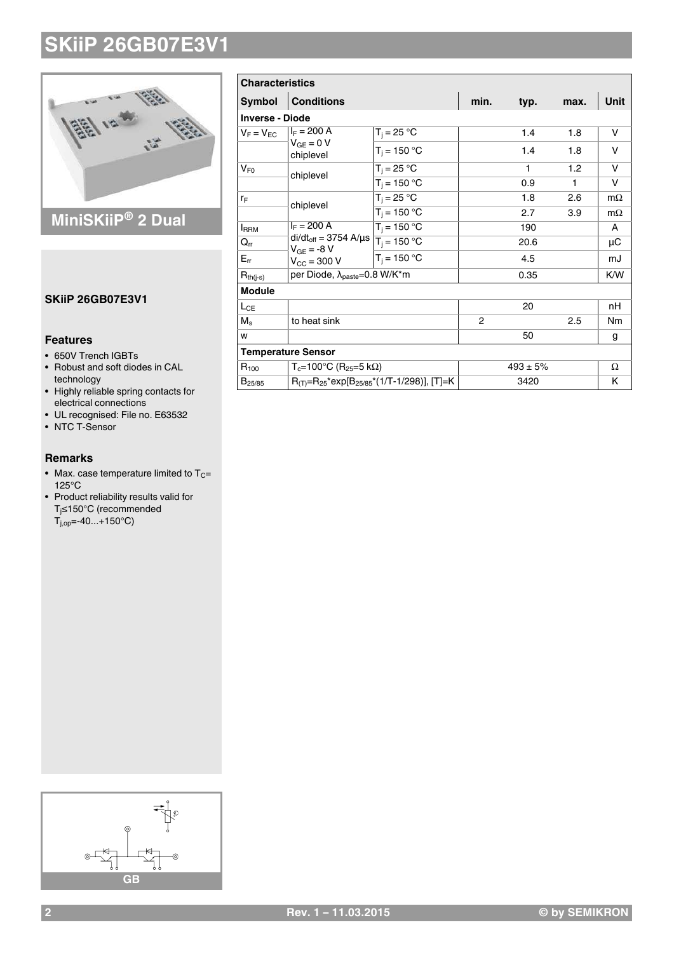

### **MiniSKiiP® 2 Dual**

### **SKiiP 26GB07E3V1**

### **Features**

- 650V Trench IGBTs
- Robust and soft diodes in CAL
- technology • Highly reliable spring contacts for electrical connections
- UL recognised: File no. E63532
- NTC T-Sensor

#### **Remarks**

- Max. case temperature limited to  $T_C=$ 125°C
- Product reliability results valid for Tj≤150°C (recommended  $T_{j,op} = -40...+150^{\circ}C$

| <b>Characteristics</b> |                                                                                                                                               |                |                |              |      |           |  |
|------------------------|-----------------------------------------------------------------------------------------------------------------------------------------------|----------------|----------------|--------------|------|-----------|--|
| <b>Symbol</b>          | <b>Conditions</b>                                                                                                                             |                | min.           | typ.         | max. | Unit      |  |
| <b>Inverse - Diode</b> |                                                                                                                                               |                |                |              |      |           |  |
| $V_F = V_{EC}$         | $I_F = 200 A$                                                                                                                                 | $T_i = 25 °C$  |                | 1.4          | 1.8  | v         |  |
|                        | $V_{GF} = 0 V$<br>chiplevel                                                                                                                   | $T_i = 150 °C$ |                | 1.4          | 1.8  | v         |  |
| $V_{F0}$               | chiplevel                                                                                                                                     | $T_i = 25 °C$  |                | 1            | 1.2  | v         |  |
|                        |                                                                                                                                               | $T_i = 150 °C$ |                | 0.9          | 1    | v         |  |
| ľF                     | chiplevel                                                                                                                                     | $T_i = 25 °C$  |                | 1.8          | 2.6  | $m\Omega$ |  |
|                        |                                                                                                                                               | $T_i = 150 °C$ |                | 2.7          | 3.9  | $m\Omega$ |  |
| <b>IRRM</b>            | $I_F = 200 A$<br>$di/dt_{off} = 3754 \text{ A/}\mu\text{s}$ $\boxed{T_i = 150 \text{ }^\circ\text{C}}$<br>$V_{GE} = -8 V$<br>$V_{CC} = 300 V$ | $T_i = 150 °C$ |                | 190          |      | A         |  |
| $Q_{rr}$               |                                                                                                                                               |                |                | 20.6         |      | μC        |  |
| $E_{rr}$               |                                                                                                                                               | $T_i = 150 °C$ |                | 4.5          |      | mJ        |  |
| $R_{th(j-s)}$          | per Diode, λ <sub>paste</sub> =0.8 W/K*m                                                                                                      |                |                | 0.35         |      | K/W       |  |
| <b>Module</b>          |                                                                                                                                               |                |                |              |      |           |  |
| $L_{CE}$               |                                                                                                                                               |                |                | 20           |      | nH        |  |
| $M_s$                  | to heat sink                                                                                                                                  |                | $\overline{2}$ |              | 2.5  | Nm        |  |
| W                      |                                                                                                                                               |                |                | 50           |      | g         |  |
|                        | <b>Temperature Sensor</b>                                                                                                                     |                |                |              |      |           |  |
| $R_{100}$              | $T_c = 100^{\circ}C$ (R <sub>25</sub> =5 kΩ)                                                                                                  |                |                | $493 \pm 5%$ |      | Ω         |  |
| $B_{25/85}$            | $R_{(T)}=R_{25}$ *exp[B <sub>25/85</sub> *(1/T-1/298)], [T]=K                                                                                 |                |                | 3420         |      | Κ         |  |

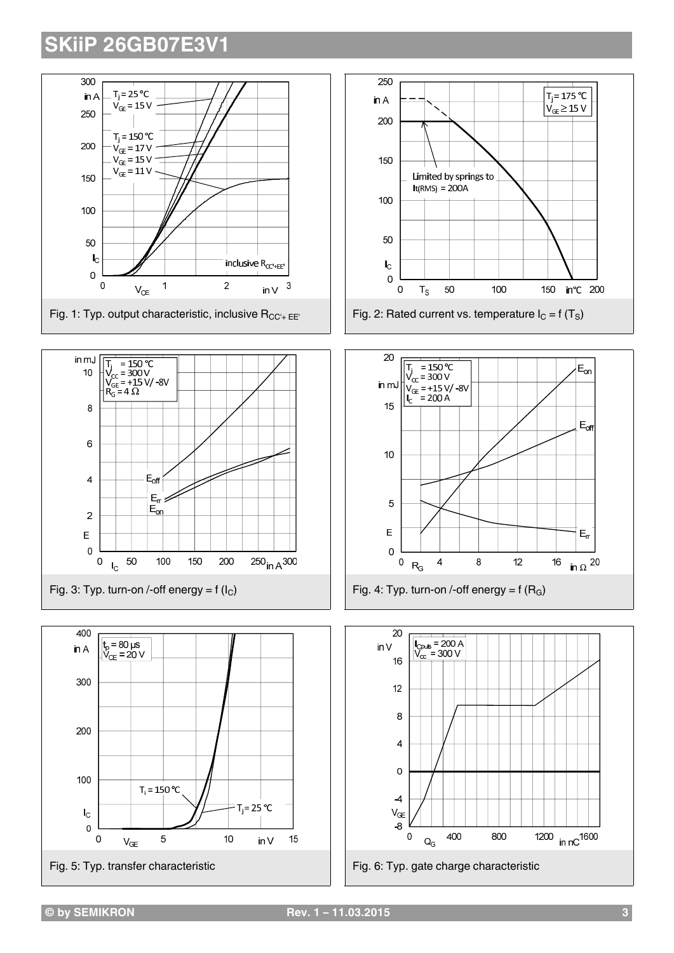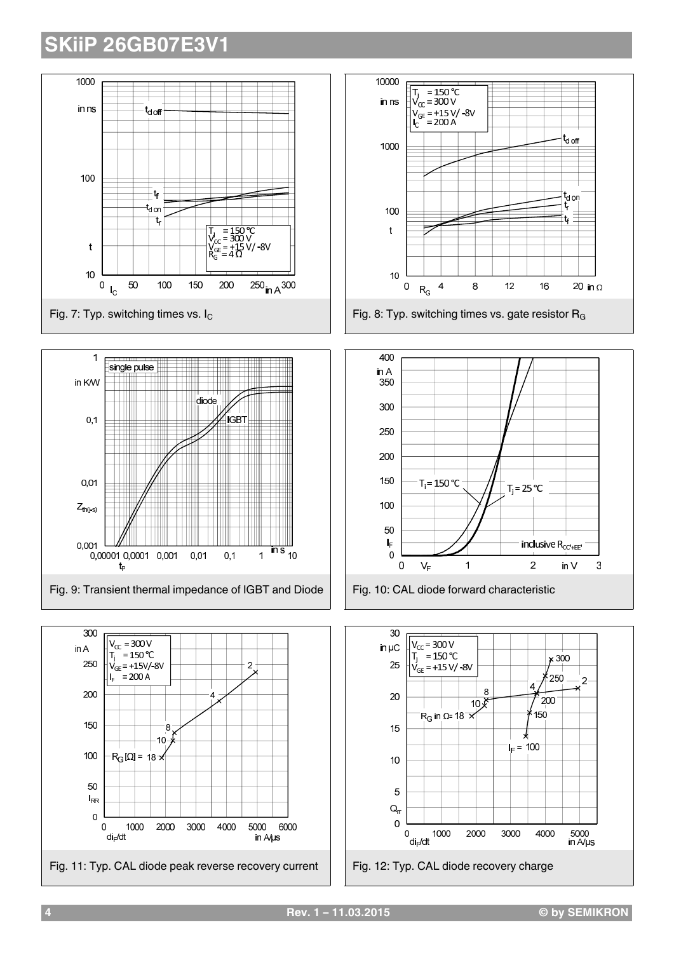